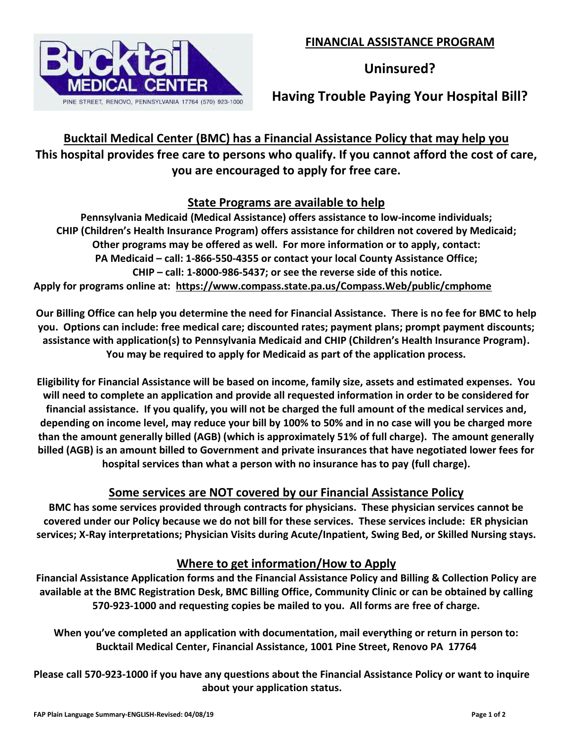

**Uninsured?**

**Having Trouble Paying Your Hospital Bill?**

**Bucktail Medical Center (BMC) has a Financial Assistance Policy that may help you This hospital provides free care to persons who qualify. If you cannot afford the cost of care, you are encouraged to apply for free care.**

### **State Programs are available to help**

**Pennsylvania Medicaid (Medical Assistance) offers assistance to low-income individuals; CHIP (Children's Health Insurance Program) offers assistance for children not covered by Medicaid; Other programs may be offered as well. For more information or to apply, contact: PA Medicaid – call: 1-866-550-4355 or contact your local County Assistance Office; CHIP – call: 1-8000-986-5437; or see the reverse side of this notice. Apply for programs online at: https://www.compass.state.pa.us/Compass.Web/public/cmphome**

**Our Billing Office can help you determine the need for Financial Assistance. There is no fee for BMC to help you. Options can include: free medical care; discounted rates; payment plans; prompt payment discounts; assistance with application(s) to Pennsylvania Medicaid and CHIP (Children's Health Insurance Program). You may be required to apply for Medicaid as part of the application process.**

**Eligibility for Financial Assistance will be based on income, family size, assets and estimated expenses. You will need to complete an application and provide all requested information in order to be considered for financial assistance. If you qualify, you will not be charged the full amount of the medical services and, depending on income level, may reduce your bill by 100% to 50% and in no case will you be charged more than the amount generally billed (AGB) (which is approximately 51% of full charge). The amount generally billed (AGB) is an amount billed to Government and private insurances that have negotiated lower fees for hospital services than what a person with no insurance has to pay (full charge).**

# **Some services are NOT covered by our Financial Assistance Policy**

**BMC has some services provided through contracts for physicians. These physician services cannot be covered under our Policy because we do not bill for these services. These services include: ER physician services; X-Ray interpretations; Physician Visits during Acute/Inpatient, Swing Bed, or Skilled Nursing stays.**

# **Where to get information/How to Apply**

**Financial Assistance Application forms and the Financial Assistance Policy and Billing & Collection Policy are available at the BMC Registration Desk, BMC Billing Office, Community Clinic or can be obtained by calling 570-923-1000 and requesting copies be mailed to you. All forms are free of charge.**

**When you've completed an application with documentation, mail everything or return in person to: Bucktail Medical Center, Financial Assistance, 1001 Pine Street, Renovo PA 17764**

**Please call 570-923-1000 if you have any questions about the Financial Assistance Policy or want to inquire about your application status.**